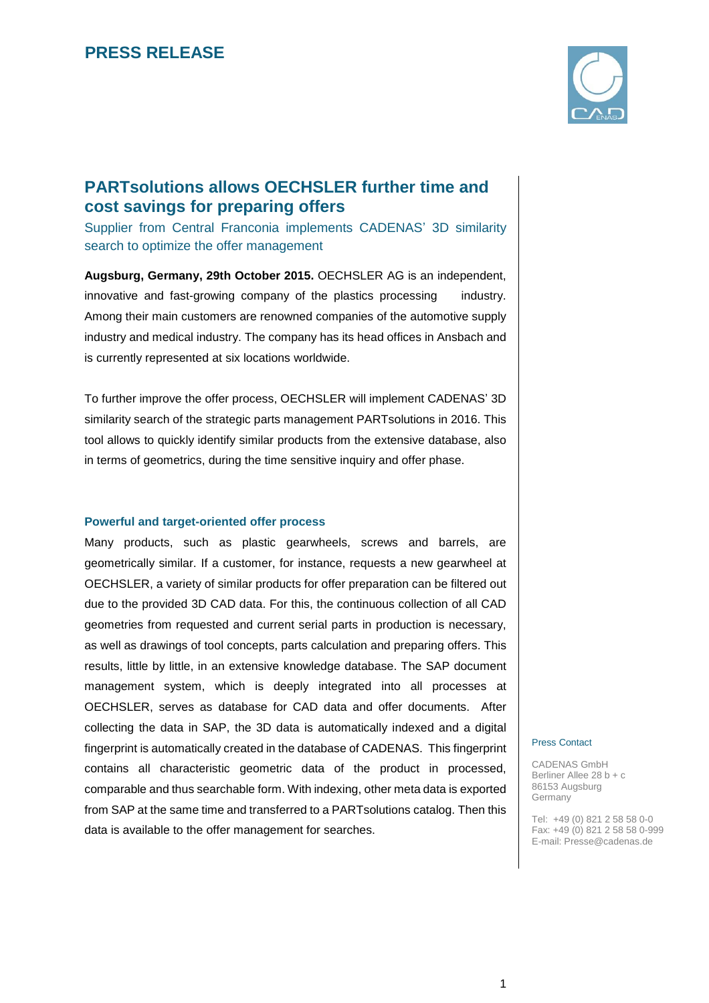

## **PARTsolutions allows OECHSLER further time and cost savings for preparing offers**

Supplier from Central Franconia implements CADENAS' 3D similarity search to optimize the offer management

**Augsburg, Germany, 29th October 2015.** OECHSLER AG is an independent, innovative and fast-growing company of the plastics processing industry. Among their main customers are renowned companies of the automotive supply industry and medical industry. The company has its head offices in Ansbach and is currently represented at six locations worldwide.

To further improve the offer process, OECHSLER will implement CADENAS' 3D similarity search of the strategic parts management PARTsolutions in 2016. This tool allows to quickly identify similar products from the extensive database, also in terms of geometrics, during the time sensitive inquiry and offer phase.

#### **Powerful and target-oriented offer process**

Many products, such as plastic gearwheels, screws and barrels, are geometrically similar. If a customer, for instance, requests a new gearwheel at OECHSLER, a variety of similar products for offer preparation can be filtered out due to the provided 3D CAD data. For this, the continuous collection of all CAD geometries from requested and current serial parts in production is necessary, as well as drawings of tool concepts, parts calculation and preparing offers. This results, little by little, in an extensive knowledge database. The SAP document management system, which is deeply integrated into all processes at OECHSLER, serves as database for CAD data and offer documents. After collecting the data in SAP, the 3D data is automatically indexed and a digital fingerprint is automatically created in the database of CADENAS. This fingerprint contains all characteristic geometric data of the product in processed, comparable and thus searchable form. With indexing, other meta data is exported from SAP at the same time and transferred to a PARTsolutions catalog. Then this data is available to the offer management for searches.

#### Press Contact

CADENAS GmbH Berliner Allee 28 b + c 86153 Augsburg Germany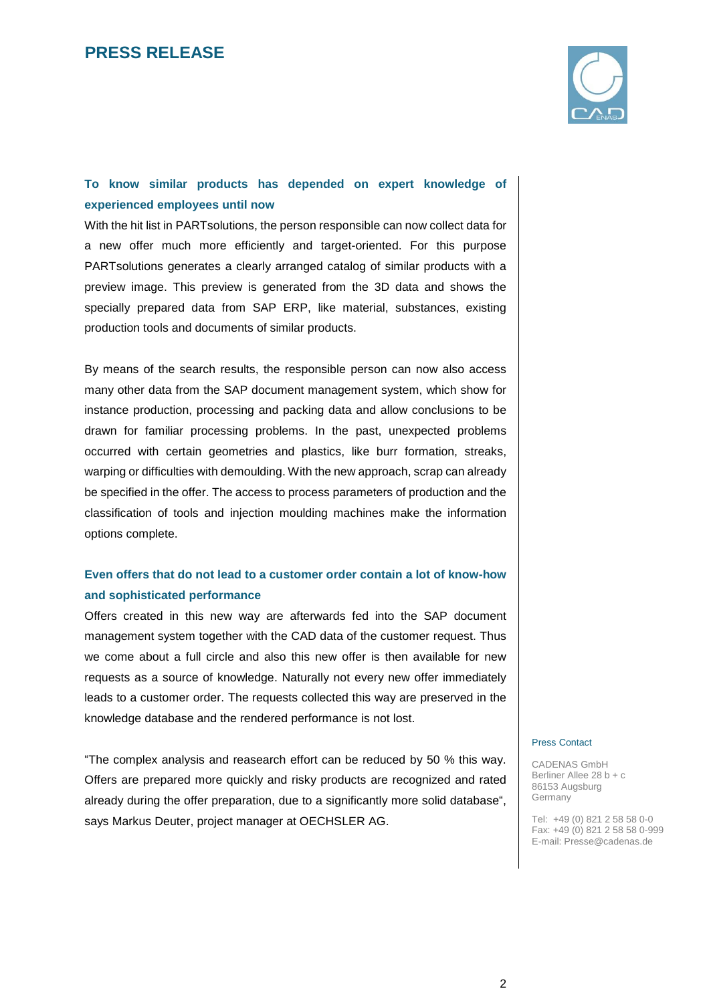

### **To know similar products has depended on expert knowledge of experienced employees until now**

With the hit list in PARTsolutions, the person responsible can now collect data for a new offer much more efficiently and target-oriented. For this purpose PARTsolutions generates a clearly arranged catalog of similar products with a preview image. This preview is generated from the 3D data and shows the specially prepared data from SAP ERP, like material, substances, existing production tools and documents of similar products.

By means of the search results, the responsible person can now also access many other data from the SAP document management system, which show for instance production, processing and packing data and allow conclusions to be drawn for familiar processing problems. In the past, unexpected problems occurred with certain geometries and plastics, like burr formation, streaks, warping or difficulties with demoulding. With the new approach, scrap can already be specified in the offer. The access to process parameters of production and the classification of tools and injection moulding machines make the information options complete.

### **Even offers that do not lead to a customer order contain a lot of know-how and sophisticated performance**

Offers created in this new way are afterwards fed into the SAP document management system together with the CAD data of the customer request. Thus we come about a full circle and also this new offer is then available for new requests as a source of knowledge. Naturally not every new offer immediately leads to a customer order. The requests collected this way are preserved in the knowledge database and the rendered performance is not lost.

"The complex analysis and reasearch effort can be reduced by 50 % this way. Offers are prepared more quickly and risky products are recognized and rated already during the offer preparation, due to a significantly more solid database", says Markus Deuter, project manager at OECHSLER AG.

#### Press Contact

CADENAS GmbH Berliner Allee 28 b + c 86153 Augsburg Germany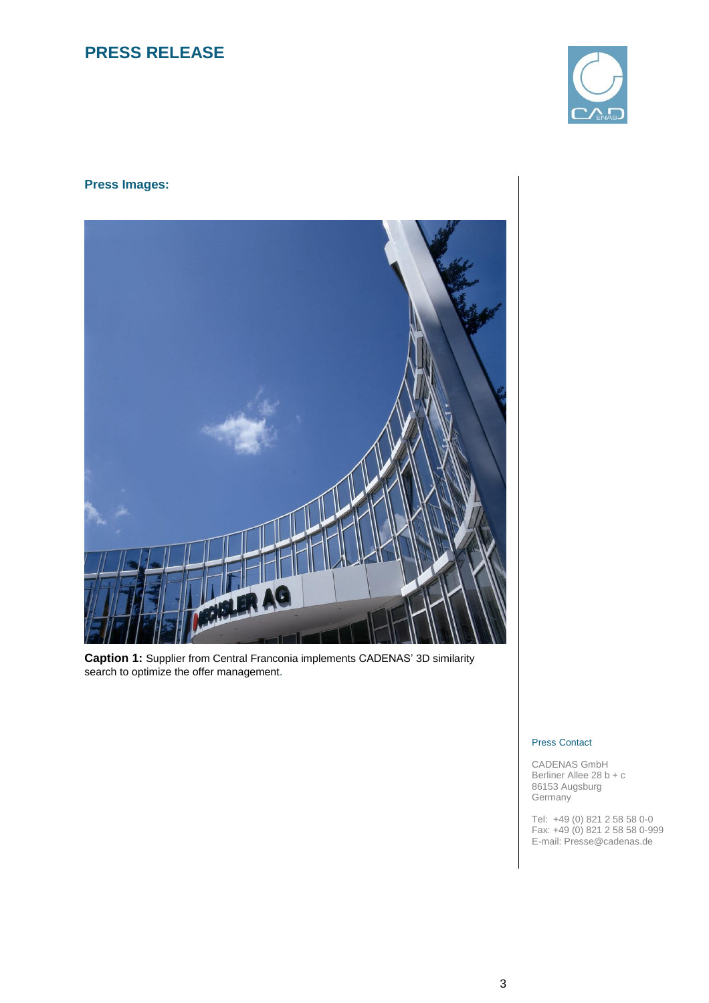

### **Press Images:**



**Caption 1:** Supplier from Central Franconia implements CADENAS' 3D similarity search to optimize the offer management.

#### Press Contact

CADENAS GmbH Berliner Allee 28 b + c 86153 Augsburg **Germany**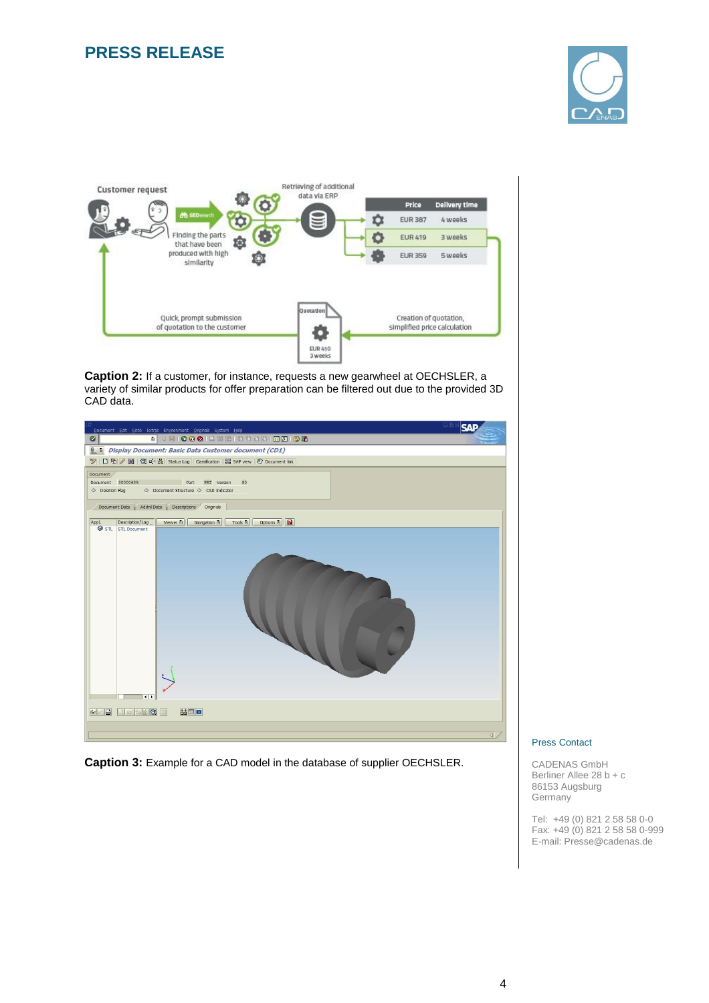



**Caption 2:** If a customer, for instance, requests a new gearwheel at OECHSLER, a variety of similar products for offer preparation can be filtered out due to the provided 3D CAD data.



**Caption 3:** Example for a CAD model in the database of supplier OECHSLER.

#### Press Contact

CADENAS GmbH Berliner Allee 28 b + c 86153 Augsburg Germany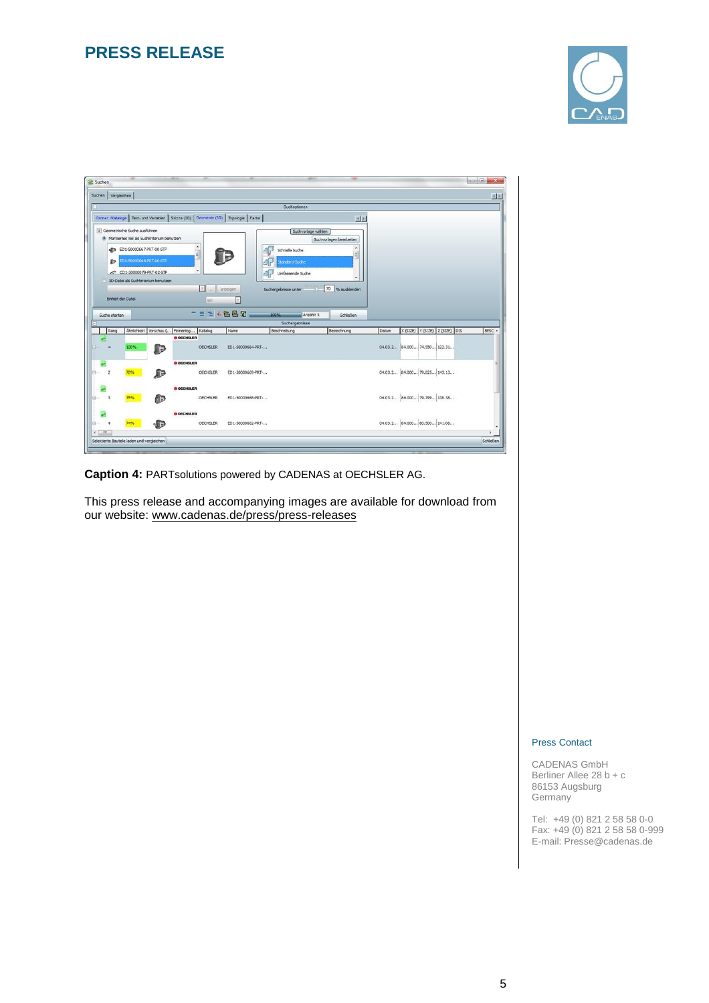

|                          |                                   |                                              |                   |                      |                                                                                           | Suchoptionen         |                         |       |                                |        |
|--------------------------|-----------------------------------|----------------------------------------------|-------------------|----------------------|-------------------------------------------------------------------------------------------|----------------------|-------------------------|-------|--------------------------------|--------|
|                          |                                   |                                              |                   |                      | Ordner: Kataloge   Text- und Variablen   Skizze (2D)   Geometrie (3D)   Topologie   Farbe |                      | 图图                      |       |                                |        |
|                          | Geometrische Suche ausführen      |                                              |                   |                      |                                                                                           |                      | Suchvorlage wählen      |       |                                |        |
|                          |                                   | A Markiertes Teil als Suchkriterium benutzen |                   |                      |                                                                                           |                      | Suchvorlagen bearbeiten |       |                                |        |
|                          | <b>SP ED1-50000667-PRT-00-STP</b> |                                              | ٠                 |                      |                                                                                           | Schnelle Suche       |                         |       |                                |        |
| 卵                        | ED1-50000664-PRT-00-STP           |                                              |                   |                      |                                                                                           | tandard-Suche        |                         |       |                                |        |
|                          | CD1-30000079-PRT-02-STP           |                                              |                   |                      |                                                                                           | Umfassende Suche     |                         |       |                                |        |
|                          |                                   | 3D-Datei als Suchkriterium benutzen          |                   |                      |                                                                                           | ď                    |                         |       |                                |        |
|                          |                                   |                                              |                   | $\mathcal{P}_\alpha$ | anzeigen                                                                                  | Suchergebnisse unter | 70 % ausbienden<br>11   |       |                                |        |
|                          |                                   |                                              |                   |                      |                                                                                           |                      |                         |       |                                |        |
| <b>Einheit der Datei</b> |                                   |                                              |                   |                      |                                                                                           |                      |                         |       |                                |        |
|                          |                                   |                                              |                   | mm                   | $\infty$                                                                                  |                      |                         |       |                                |        |
| Suche starten            |                                   |                                              |                   |                      | ■ = ※ 名品团                                                                                 | 100%                 | Anzahl: 5<br>Schleßen   |       |                                |        |
|                          |                                   |                                              |                   |                      |                                                                                           | Suchergebnisse       |                         |       |                                |        |
| Rang                     |                                   | Ahnlichkeit Vorschau ( Firmenlog             |                   | Katalog              | Name                                                                                      | Beschreibung         | Bezeichnung             | Datum | X (SIZE) Y (SIZE) Z (SIZE) DIS | BESC - |
|                          |                                   |                                              | <b>O OECHSLER</b> |                      |                                                                                           |                      |                         |       |                                |        |
|                          | 100%                              | D                                            |                   | <b>OECHSLER</b>      | ED1-50000664-PRT -                                                                        |                      |                         |       | 04.03.2 84.000 74.550 122.31   |        |
|                          |                                   |                                              | <b>O OECHSLER</b> |                      |                                                                                           |                      |                         |       |                                |        |
|                          | 78%                               |                                              |                   | <b>OECHSLER</b>      | ED1-50000669-PRT -                                                                        |                      |                         |       | 04.03.2 84.000 79.825 143.13   |        |
|                          |                                   | æ                                            |                   |                      |                                                                                           |                      |                         |       |                                |        |
|                          |                                   |                                              | <b>O OECHSLER</b> |                      |                                                                                           |                      |                         |       |                                |        |
| 3                        | 75%                               | æ                                            |                   | <b>OECHSLER</b>      | ED1-50000668-PRT -                                                                        |                      |                         |       | 04.03.2 84.000 79.799 138.38   |        |
|                          |                                   |                                              |                   |                      |                                                                                           |                      |                         |       |                                |        |
| A                        | 74%                               | √Մ∋                                          | <b>O OECHSLER</b> | <b>OECHSLER</b>      | ED1-50000662-PRT-                                                                         |                      |                         |       | 04.03.2 84.000 80.500 141.08   |        |

**Caption 4:** PARTsolutions powered by CADENAS at OECHSLER AG.

This press release and accompanying images are available for download from our website: [www.cadenas.de/press/press-releases](http://www.cadenas.de/press/press-releases)

#### Press Contact

CADENAS GmbH Berliner Allee 28 b + c 86153 Augsburg Germany